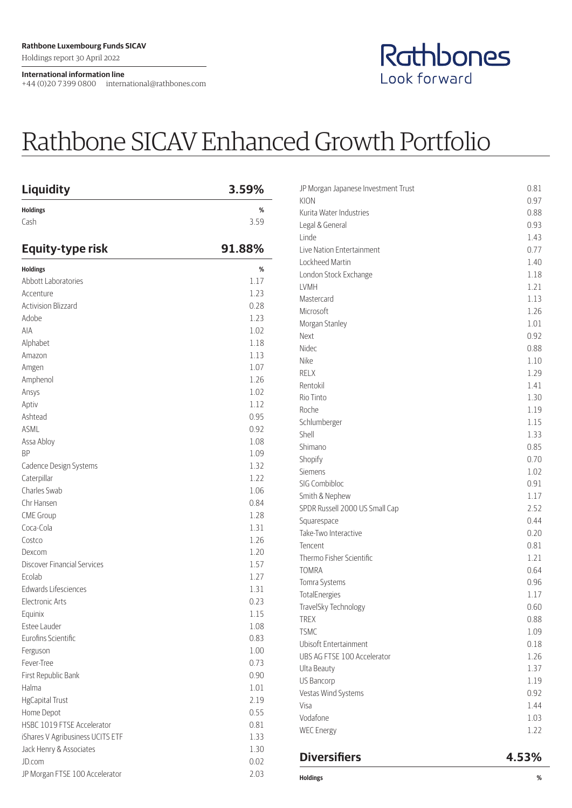Holdings report 30 April 2022

## **International information line**

+44 (0)20 7399 0800 international@rathbones.com

## Rathbones Look forward

## Rathbone SICAV Enhanced Growth Portfolio

| <b>Liquidity</b>                 | 3.59%     |
|----------------------------------|-----------|
| <b>Holdings</b><br>Cash          | %<br>3.59 |
| Equity-type risk                 | 91.88%    |
| <b>Holdings</b>                  | %         |
| Abbott Laboratories              | 1.17      |
| Accenture                        | 1.23      |
| <b>Activision Blizzard</b>       | 0.28      |
| Adobe                            | 1.23      |
| AIA                              | 1.02      |
| Alphabet                         | 1.18      |
| Amazon                           | 1.13      |
| Amgen                            | 1.07      |
| Amphenol                         | 1.26      |
| Ansys                            | 1.02      |
| Aptiv                            | 1.12      |
| Ashtead                          | 0.95      |
| <b>ASML</b>                      | 0.92      |
| Assa Abloy                       | 1.08      |
| <b>BP</b>                        | 1.09      |
| Cadence Design Systems           | 1.32      |
| Caterpillar                      | 1.22      |
| Charles Swab                     | 1.06      |
| Chr Hansen                       | 0.84      |
| <b>CME Group</b>                 | 1.28      |
| Coca-Cola                        | 1.31      |
| Costco                           | 1.26      |
| Dexcom                           | 1.20      |
| Discover Financial Services      | 1.57      |
| Ecolab                           | 1.27      |
| Edwards Lifesciences             | 1.31      |
| <b>Electronic Arts</b>           | 0.23      |
| Equinix                          | 1.15      |
| Estee Lauder                     | 1.08      |
| Eurofins Scientific              | 0.83      |
| Ferguson                         | 1.00      |
| Fever-Tree                       | 0.73      |
| First Republic Bank              | 0.90      |
| Halma                            | 1.01      |
| <b>HgCapital Trust</b>           | 2.19      |
| Home Depot                       | 0.55      |
| HSBC 1019 FTSE Accelerator       | 0.81      |
| iShares V Agribusiness UCITS ETF | 1.33      |
| Jack Henry & Associates          | 1.30      |
| JD.com                           | 0.02      |
| JP Morgan FTSE 100 Accelerator   | 2.03      |

| JP Morgan Japanese Investment Trust | 0.81 |
|-------------------------------------|------|
| KION                                | 0.97 |
| Kurita Water Industries             | 0.88 |
| Legal & General                     | 0.93 |
| Linde                               | 1.43 |
| Live Nation Entertainment           | 0.77 |
| Lockheed Martin                     | 1.40 |
| London Stock Exchange               | 1.18 |
| LVMH                                | 1.21 |
| Mastercard                          | 1.13 |
| Microsoft                           | 1.26 |
| Morgan Stanley                      | 1.01 |
| Next                                | 0.92 |
| Nidec                               | 0.88 |
| Nike                                | 1.10 |
| <b>RELX</b>                         | 1.29 |
| Rentokil                            | 1.41 |
| Rio Tinto                           | 1.30 |
| Roche                               | 1.19 |
| Schlumberger                        | 1.15 |
| Shell                               | 1.33 |
| Shimano                             | 0.85 |
| Shopify                             | 0.70 |
| Siemens                             | 1.02 |
| SIG Combibloc                       | 0.91 |
| Smith & Nephew                      | 1.17 |
| SPDR Russell 2000 US Small Cap      | 2.52 |
| Squarespace                         | 0.44 |
| Take-Two Interactive                | 0.20 |
| Tencent                             | 0.81 |
| Thermo Fisher Scientific            | 1.21 |
| <b>TOMRA</b>                        | 0.64 |
| Tomra Systems                       | 0.96 |
| TotalEnergies                       | 1.17 |
| TravelSky Technology                | 0.60 |
| TREX                                | 0.88 |
| <b>TSMC</b>                         | 1.09 |
| Ubisoft Entertainment               | 0.18 |
| UBS AG FTSE 100 Accelerator         | 1.26 |
| Ulta Beauty                         | 1.37 |
| <b>US Bancorp</b>                   | 1.19 |
| Vestas Wind Systems                 | 0.92 |
| Visa                                | 1.44 |
| Vodafone                            | 1.03 |
| <b>WEC Energy</b>                   | 1.22 |
|                                     |      |

## **Diversifiers 4.53%**

**Holdings %**